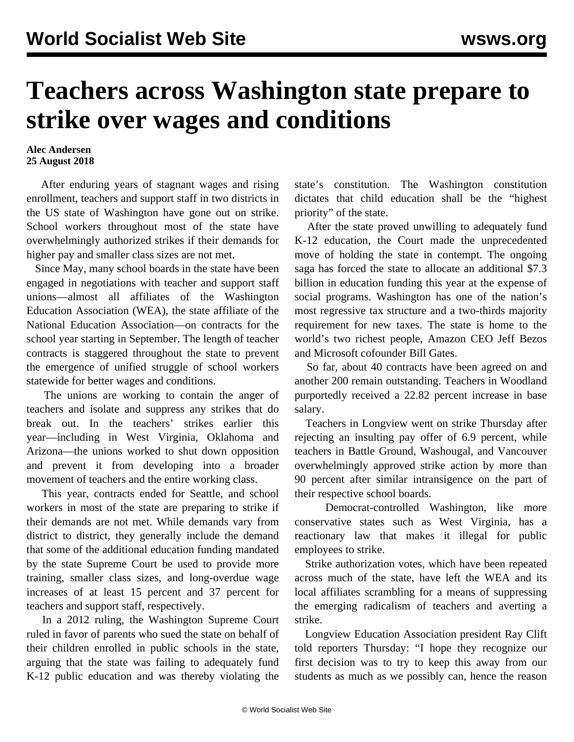## **Teachers across Washington state prepare to strike over wages and conditions**

## **Alec Andersen 25 August 2018**

 After enduring years of stagnant wages and rising enrollment, teachers and support staff in two districts in the US state of Washington have gone out on strike. School workers throughout most of the state have overwhelmingly authorized strikes if their demands for higher pay and smaller class sizes are not met.

 Since May, many school boards in the state have been engaged in negotiations with teacher and support staff unions—almost all affiliates of the Washington Education Association (WEA), the state affiliate of the National Education Association—on contracts for the school year starting in September. The length of teacher contracts is staggered throughout the state to prevent the emergence of unified struggle of school workers statewide for better wages and conditions.

 The unions are working to contain the anger of teachers and isolate and suppress any strikes that do break out. In the teachers' strikes earlier this year—including in West Virginia, Oklahoma and Arizona—the unions worked to shut down opposition and prevent it from developing into a broader movement of teachers and the entire working class.

 This year, contracts ended for Seattle, and school workers in most of the state are preparing to strike if their demands are not met. While demands vary from district to district, they generally include the demand that some of the additional education funding mandated by the state Supreme Court be used to provide more training, smaller class sizes, and long-overdue wage increases of at least 15 percent and 37 percent for teachers and support staff, respectively.

 In a 2012 ruling, the Washington Supreme Court ruled in favor of parents who sued the state on behalf of their children enrolled in public schools in the state, arguing that the state was failing to adequately fund K-12 public education and was thereby violating the

state's constitution. The Washington constitution dictates that child education shall be the "highest priority" of the state.

 After the state proved unwilling to adequately fund K-12 education, the Court made the unprecedented move of holding the state in contempt. The ongoing saga has forced the state to allocate an additional \$7.3 billion in education funding this year at the expense of social programs. Washington has one of the nation's most regressive tax structure and a two-thirds majority requirement for new taxes. The state is home to the world's two richest people, Amazon CEO Jeff Bezos and Microsoft cofounder Bill Gates.

 So far, about 40 contracts have been agreed on and another 200 remain outstanding. Teachers in Woodland purportedly received a 22.82 percent increase in base salary.

 Teachers in Longview went on strike Thursday after rejecting an insulting pay offer of 6.9 percent, while teachers in Battle Ground, Washougal, and Vancouver overwhelmingly approved strike action by more than 90 percent after similar intransigence on the part of their respective school boards.

 Democrat-controlled Washington, like more conservative states such as West Virginia, has a reactionary law that makes it illegal for public employees to strike.

 Strike authorization votes, which have been repeated across much of the state, have left the WEA and its local affiliates scrambling for a means of suppressing the emerging radicalism of teachers and averting a strike.

 Longview Education Association president Ray Clift told reporters Thursday: "I hope they recognize our first decision was to try to keep this away from our students as much as we possibly can, hence the reason